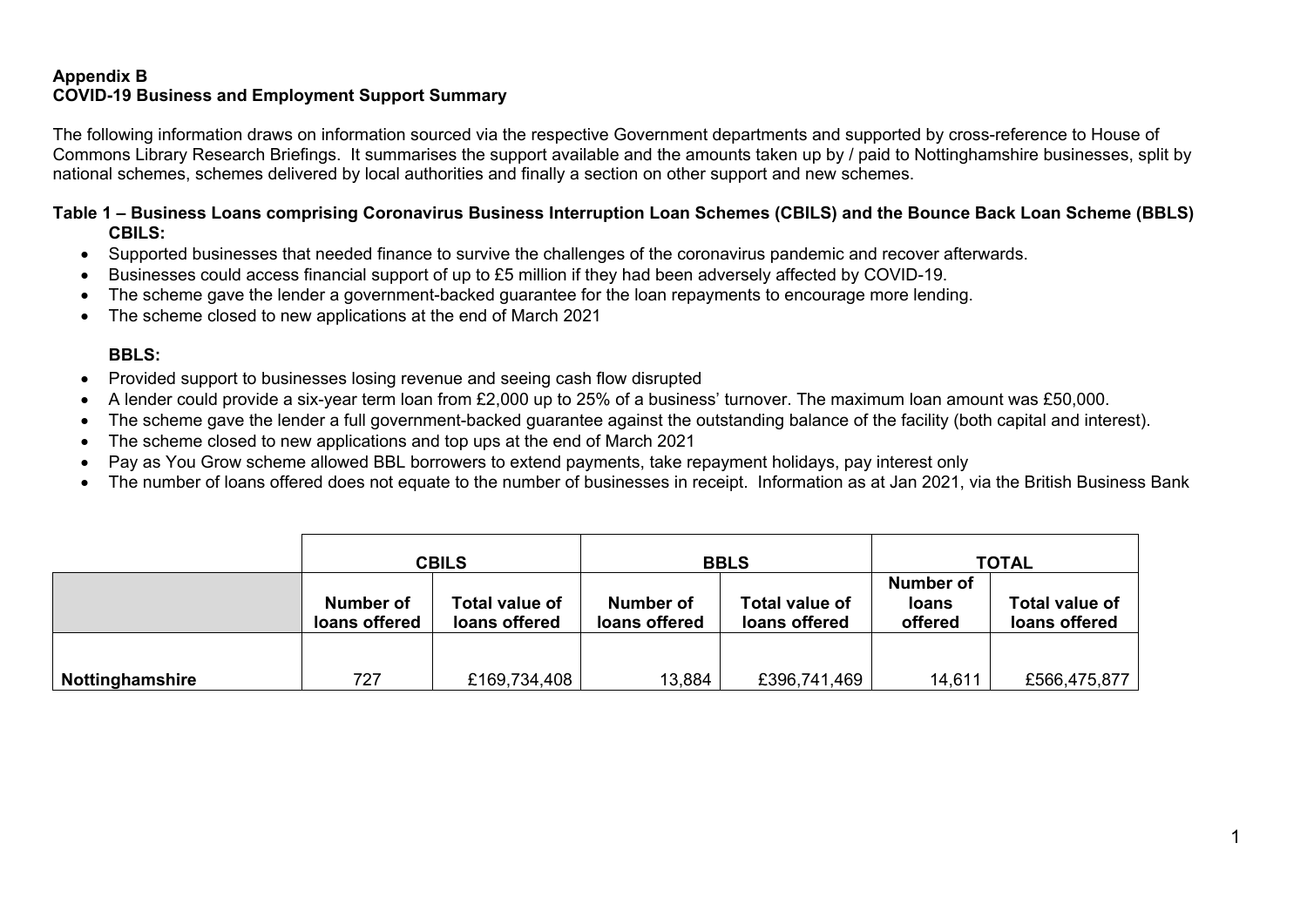### **Appendix B COVID-19 Business and Employment Support Summary**

The following information draws on information sourced via the respective Government departments and supported by cross-reference to House of Commons Library Research Briefings. It summarises the support available and the amounts taken up by / paid to Nottinghamshire businesses, split by national schemes, schemes delivered by local authorities and finally a section on other support and new schemes.

#### **Table 1 – Business Loans comprising Coronavirus Business Interruption Loan Schemes (CBILS) and the Bounce Back Loan Scheme (BBLS) CBILS:**

- Supported businesses that needed finance to survive the challenges of the coronavirus pandemic and recover afterwards.
- Businesses could access financial support of up to £5 million if they had been adversely affected by COVID-19.
- The scheme gave the lender a government-backed guarantee for the loan repayments to encourage more lending.
- The scheme closed to new applications at the end of March 2021

#### **BBLS:**

- Provided support to businesses losing revenue and seeing cash flow disrupted
- A lender could provide a six-year term loan from £2,000 up to 25% of a business' turnover. The maximum loan amount was £50,000.
- The scheme gave the lender a full government-backed guarantee against the outstanding balance of the facility (both capital and interest).
- The scheme closed to new applications and top ups at the end of March 2021
- Pay as You Grow scheme allowed BBL borrowers to extend payments, take repayment holidays, pay interest only
- The number of loans offered does not equate to the number of businesses in receipt. Information as at Jan 2021, via the British Business Bank

|                 | <b>CBILS</b>               |                                 | <b>BBLS</b>                |                                 | <b>TOTAL</b>                                |                                 |
|-----------------|----------------------------|---------------------------------|----------------------------|---------------------------------|---------------------------------------------|---------------------------------|
|                 | Number of<br>loans offered | Total value of<br>loans offered | Number of<br>loans offered | Total value of<br>loans offered | <b>Number of</b><br><b>loans</b><br>offered | Total value of<br>loans offered |
| Nottinghamshire | 727                        | £169,734,408                    | 13,884                     | £396,741,469                    | 14,611                                      | £566,475,877                    |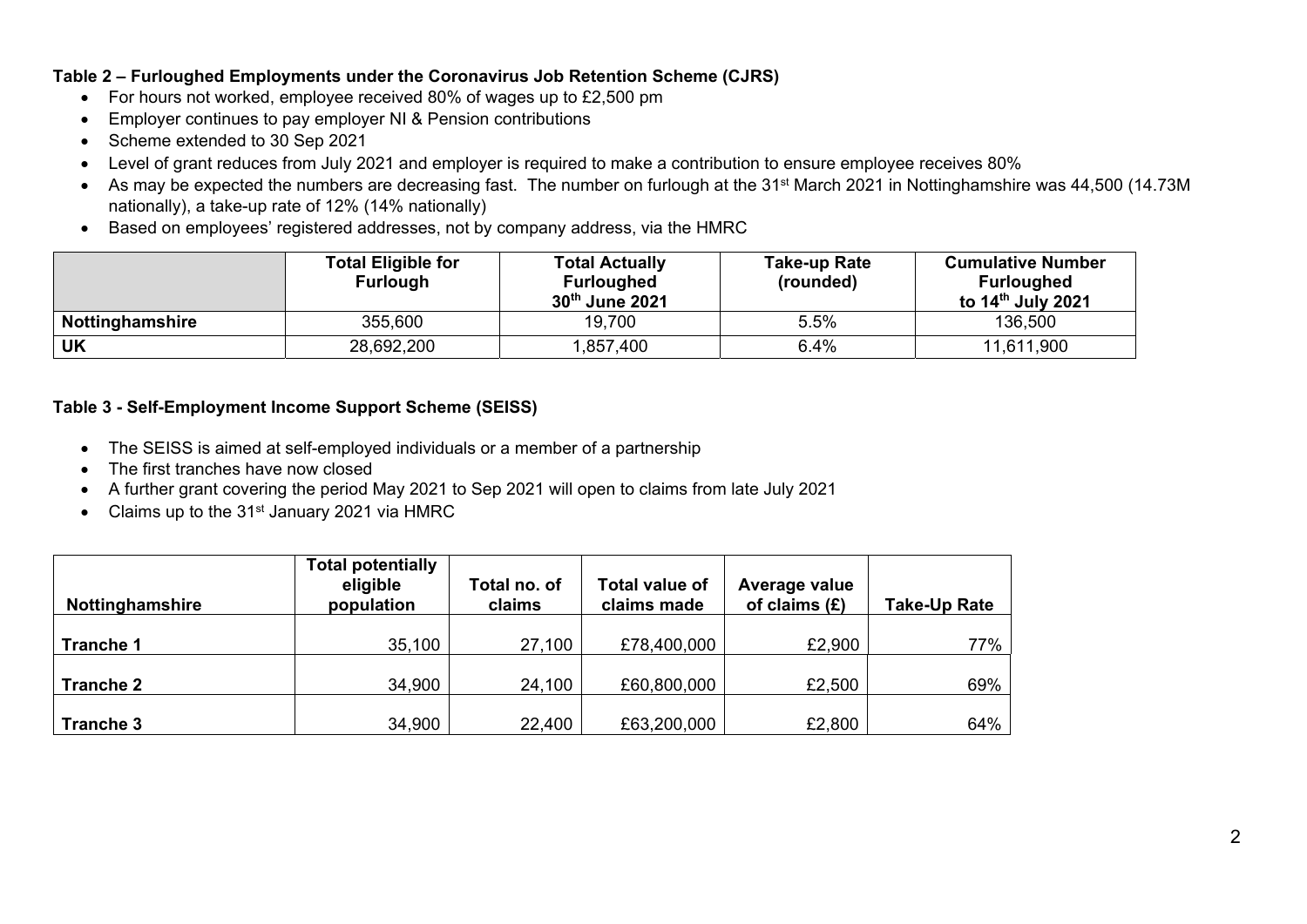### **Table 2 – Furloughed Employments under the Coronavirus Job Retention Scheme (CJRS)**

- For hours not worked, employee received 80% of wages up to £2,500 pm
- Employer continues to pay employer NI & Pension contributions
- Scheme extended to 30 Sep 2021
- Level of grant reduces from July 2021 and employer is required to make a contribution to ensure employee receives 80%
- As may be expected the numbers are decreasing fast. The number on furlough at the 31<sup>st</sup> March 2021 in Nottinghamshire was 44,500 (14.73M) nationally), a take-up rate of 12% (14% nationally)
- Based on employees' registered addresses, not by company address, via the HMRC

|                 | <b>Total Eligible for</b><br><b>Furlough</b> | <b>Total Actually</b><br><b>Furloughed</b><br>30th June 2021 | Take-up Rate<br>(rounded) | <b>Cumulative Number</b><br><b>Furloughed</b><br>to $14th$ July 2021 |
|-----------------|----------------------------------------------|--------------------------------------------------------------|---------------------------|----------------------------------------------------------------------|
| Nottinghamshire | 355,600                                      | 19,700                                                       | 5.5%                      | 136,500                                                              |
| UK              | 28,692,200                                   | ,857,400                                                     | $6.4\%$                   | 11,611,900                                                           |

### **Table 3 - Self-Employment Income Support Scheme (SEISS)**

- The SEISS is aimed at self-employed individuals or a member of a partnership
- The first tranches have now closed
- A further grant covering the period May 2021 to Sep 2021 will open to claims from late July 2021
- Claims up to the 31<sup>st</sup> January 2021 via HMRC

| <b>Nottinghamshire</b> | <b>Total potentially</b><br>eligible<br>population | Total no. of<br>claims | <b>Total value of</b><br>claims made | Average value<br>of claims $(E)$ | Take-Up Rate |
|------------------------|----------------------------------------------------|------------------------|--------------------------------------|----------------------------------|--------------|
| <b>Tranche 1</b>       | 35,100                                             | 27,100                 | £78,400,000                          | £2,900                           | 77%          |
| <b>Tranche 2</b>       | 34,900                                             | 24,100                 | £60,800,000                          | £2,500                           | 69%          |
| Tranche 3              | 34,900                                             | 22,400                 | £63,200,000                          | £2,800                           | 64%          |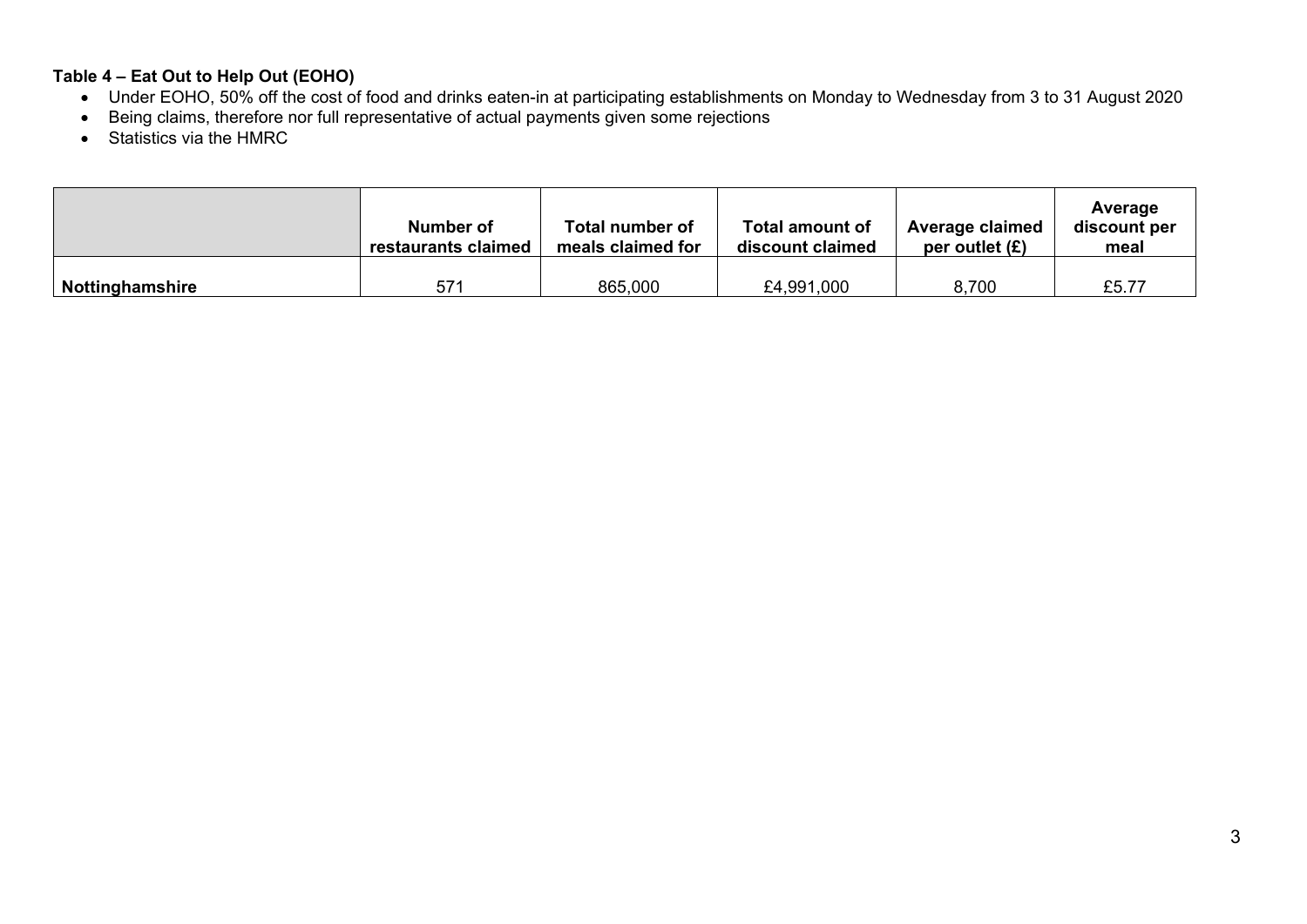# **Table 4 – Eat Out to Help Out (EOHO)**

- Under EOHO, 50% off the cost of food and drinks eaten-in at participating establishments on Monday to Wednesday from 3 to 31 August 2020
- Being claims, therefore nor full representative of actual payments given some rejections
- Statistics via the HMRC

|                 | Number of<br>restaurants claimed | Total number of<br>meals claimed for | Total amount of<br>discount claimed | Average claimed<br>per outlet $(E)$ | Average<br>discount per<br>meal |
|-----------------|----------------------------------|--------------------------------------|-------------------------------------|-------------------------------------|---------------------------------|
| Nottinghamshire | 571                              | 865,000                              | £4,991,000                          | 8,700                               | £5.77                           |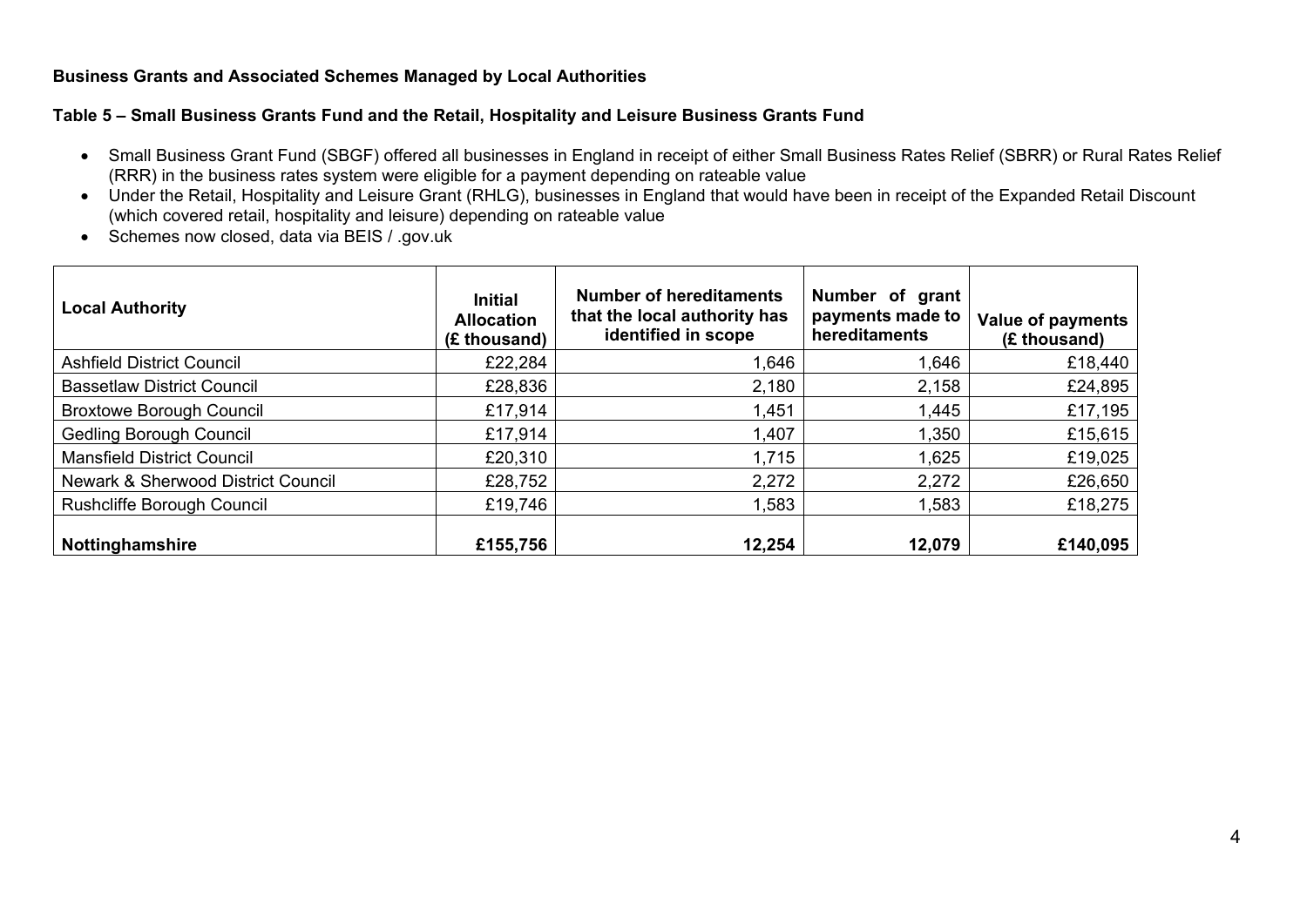### **Business Grants and Associated Schemes Managed by Local Authorities**

#### **Table 5 – Small Business Grants Fund and the Retail, Hospitality and Leisure Business Grants Fund**

- Small Business Grant Fund (SBGF) offered all businesses in England in receipt of either Small Business Rates Relief (SBRR) or Rural Rates Relief (RRR) in the business rates system were eligible for a payment depending on rateable value
- Under the Retail, Hospitality and Leisure Grant (RHLG), businesses in England that would have been in receipt of the Expanded Retail Discount (which covered retail, hospitality and leisure) depending on rateable value
- Schemes now closed, data via BEIS / .gov.uk

| <b>Local Authority</b>             | <b>Initial</b><br><b>Allocation</b><br>(£ thousand) | <b>Number of hereditaments</b><br>that the local authority has<br>identified in scope | Number of grant<br>payments made to<br>hereditaments | <b>Value of payments</b><br>(£ thousand) |
|------------------------------------|-----------------------------------------------------|---------------------------------------------------------------------------------------|------------------------------------------------------|------------------------------------------|
| <b>Ashfield District Council</b>   | £22,284                                             | 1,646                                                                                 | 1,646                                                | £18,440                                  |
| <b>Bassetlaw District Council</b>  | £28,836                                             | 2,180                                                                                 | 2,158                                                | £24,895                                  |
| <b>Broxtowe Borough Council</b>    | £17,914                                             | 1,451                                                                                 | 1,445                                                | £17,195                                  |
| <b>Gedling Borough Council</b>     | £17,914                                             | 1,407                                                                                 | 1,350                                                | £15,615                                  |
| <b>Mansfield District Council</b>  | £20,310                                             | 1,715                                                                                 | 1,625                                                | £19,025                                  |
| Newark & Sherwood District Council | £28,752                                             | 2,272                                                                                 | 2,272                                                | £26,650                                  |
| Rushcliffe Borough Council         | £19,746                                             | 1,583                                                                                 | 1,583                                                | £18,275                                  |
| Nottinghamshire                    | £155,756                                            | 12,254                                                                                | 12,079                                               | £140,095                                 |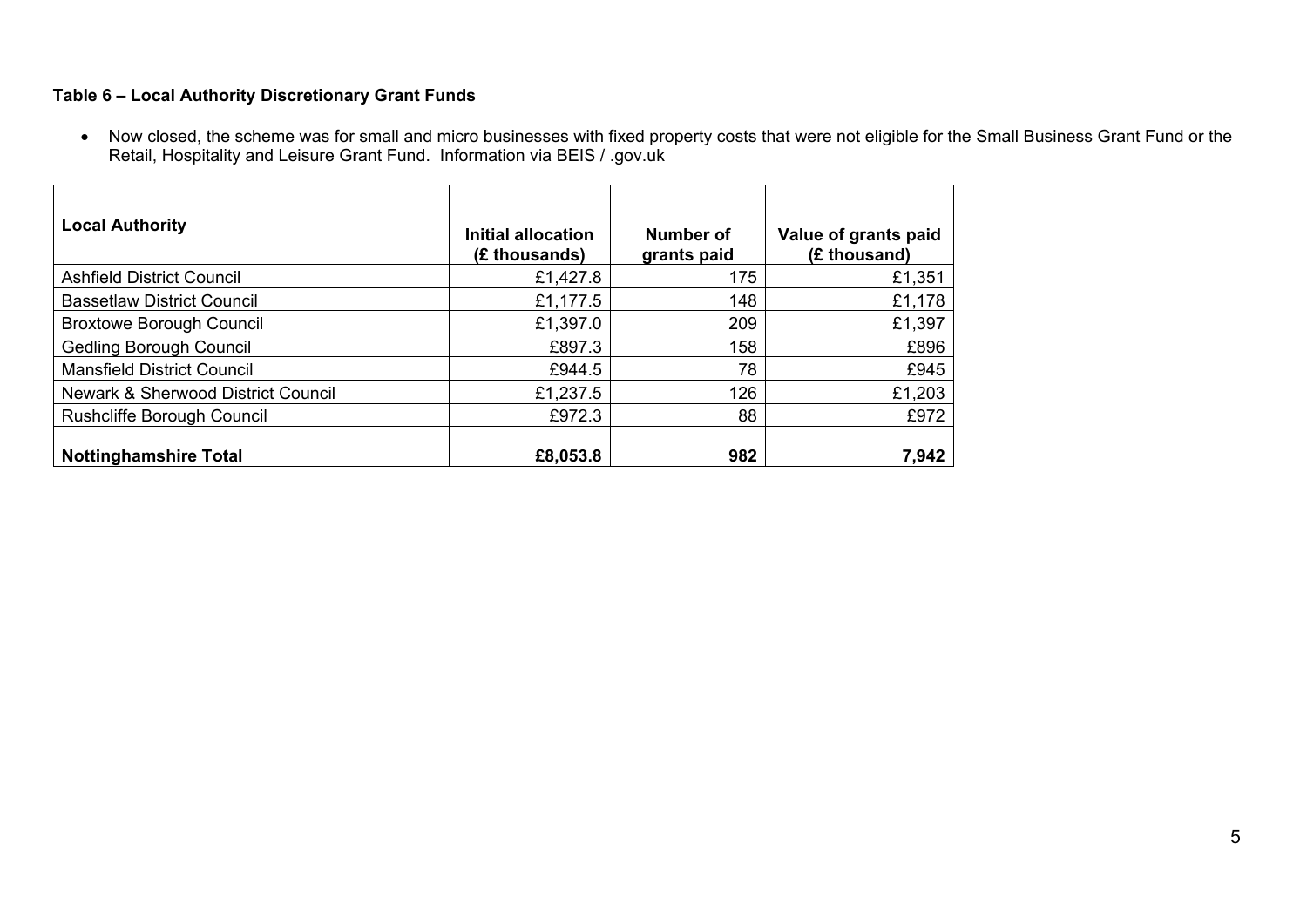# **Table 6 – Local Authority Discretionary Grant Funds**

• Now closed, the scheme was for small and micro businesses with fixed property costs that were not eligible for the Small Business Grant Fund or the Retail, Hospitality and Leisure Grant Fund. Information via BEIS / .gov.uk

| <b>Local Authority</b>             | Initial allocation<br>(£ thousands) | Number of<br>grants paid | Value of grants paid<br>(£ thousand) |
|------------------------------------|-------------------------------------|--------------------------|--------------------------------------|
| <b>Ashfield District Council</b>   | £1,427.8                            | 175                      | £1,351                               |
| <b>Bassetlaw District Council</b>  | £1,177.5                            | 148                      | £1,178                               |
| <b>Broxtowe Borough Council</b>    | £1,397.0                            | 209                      | £1,397                               |
| <b>Gedling Borough Council</b>     | £897.3                              | 158                      | £896                                 |
| <b>Mansfield District Council</b>  | £944.5                              | 78                       | £945                                 |
| Newark & Sherwood District Council | £1,237.5                            | 126                      | £1,203                               |
| Rushcliffe Borough Council         | £972.3                              | 88                       | £972                                 |
| <b>Nottinghamshire Total</b>       | £8,053.8                            | 982                      | 7,942                                |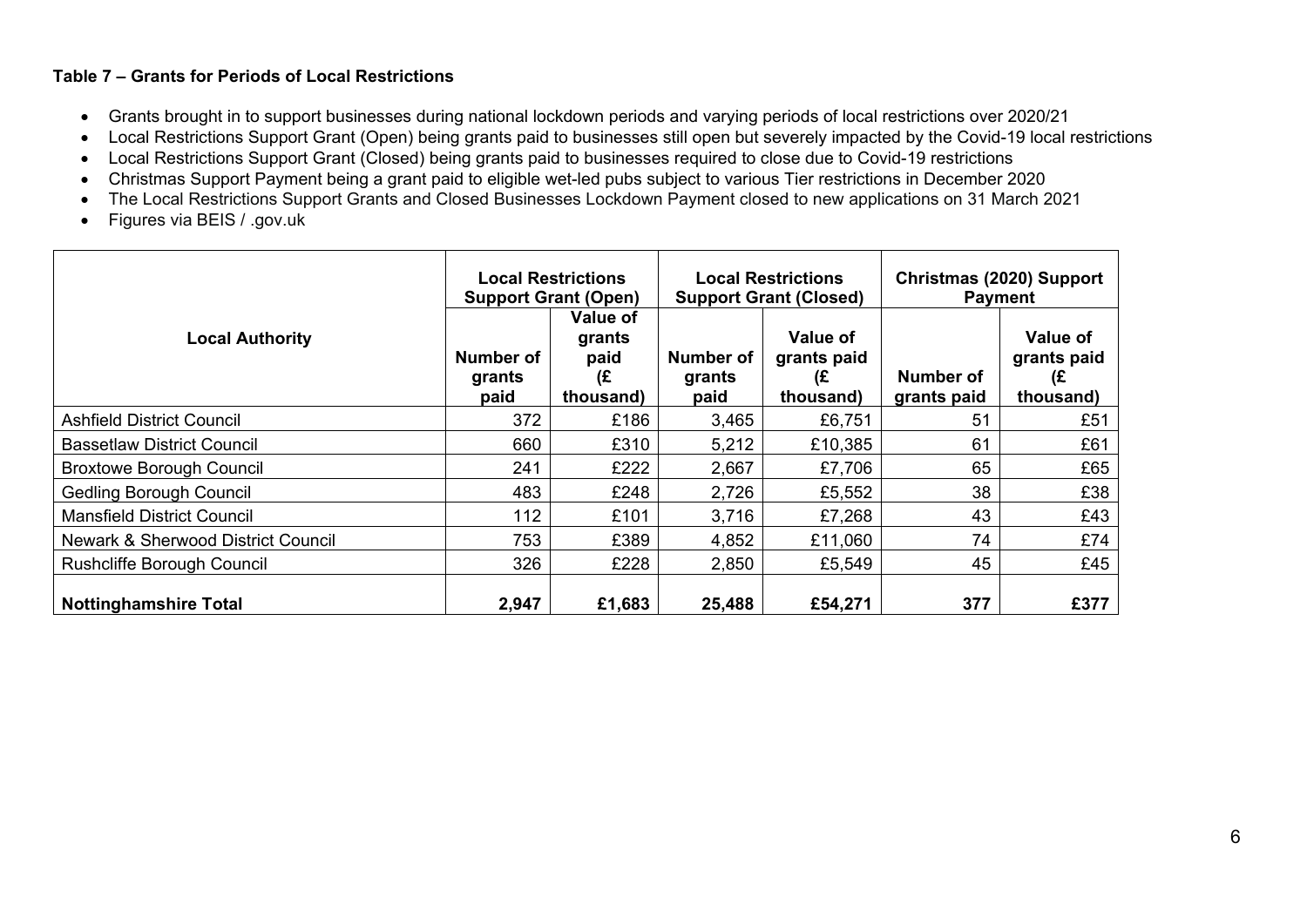### **Table 7 – Grants for Periods of Local Restrictions**

- Grants brought in to support businesses during national lockdown periods and varying periods of local restrictions over 2020/21
- Local Restrictions Support Grant (Open) being grants paid to businesses still open but severely impacted by the Covid-19 local restrictions
- Local Restrictions Support Grant (Closed) being grants paid to businesses required to close due to Covid-19 restrictions
- Christmas Support Payment being a grant paid to eligible wet-led pubs subject to various Tier restrictions in December 2020
- $\bullet$ The Local Restrictions Support Grants and Closed Businesses Lockdown Payment closed to new applications on 31 March 2021
- $\bullet$ Figures via BEIS / .gov.uk

|                                               | <b>Local Restrictions</b><br><b>Support Grant (Open)</b> |                                                      | <b>Local Restrictions</b><br><b>Support Grant (Closed)</b> |                                                   | Christmas (2020) Support<br><b>Payment</b> |                                            |
|-----------------------------------------------|----------------------------------------------------------|------------------------------------------------------|------------------------------------------------------------|---------------------------------------------------|--------------------------------------------|--------------------------------------------|
| <b>Local Authority</b>                        | Number of<br>grants<br>paid                              | <b>Value of</b><br>grants<br>paid<br>(£<br>thousand) | Number of<br>grants<br>paid                                | <b>Value of</b><br>grants paid<br>(£<br>thousand) | <b>Number of</b><br>grants paid            | Value of<br>grants paid<br>(£<br>thousand) |
| <b>Ashfield District Council</b>              | 372                                                      | £186                                                 | 3,465                                                      | £6,751                                            | 51                                         | £51                                        |
| <b>Bassetlaw District Council</b>             | 660                                                      | £310                                                 | 5,212                                                      | £10,385                                           | 61                                         | £61                                        |
| <b>Broxtowe Borough Council</b>               | 241                                                      | £222                                                 | 2,667                                                      | £7,706                                            | 65                                         | £65                                        |
| <b>Gedling Borough Council</b>                | 483                                                      | £248                                                 | 2,726                                                      | £5,552                                            | 38                                         | £38                                        |
| <b>Mansfield District Council</b>             | 112                                                      | £101                                                 | 3,716                                                      | £7,268                                            | 43                                         | £43                                        |
| <b>Newark &amp; Sherwood District Council</b> | 753                                                      | £389                                                 | 4,852                                                      | £11,060                                           | 74                                         | £74                                        |
| <b>Rushcliffe Borough Council</b>             | 326                                                      | £228                                                 | 2,850                                                      | £5,549                                            | 45                                         | £45                                        |
| <b>Nottinghamshire Total</b>                  | 2,947                                                    | £1,683                                               | 25,488                                                     | £54,271                                           | 377                                        | £377                                       |